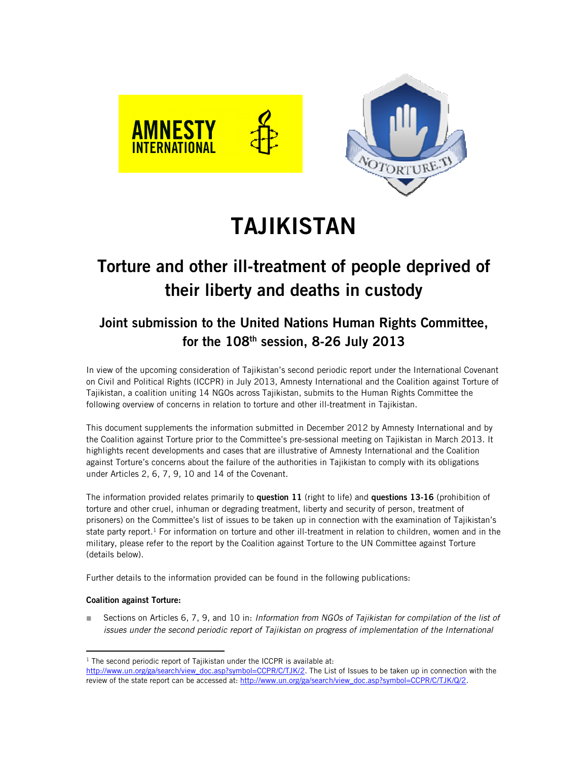



# **TAJIKISTAN**

# **Torture and other ill-treatment of people deprived of their liberty and deaths in custody**

## **Joint submission to the United Nations Human Rights Committee, for the 108th session, 8-26 July 2013**

In view of the upcoming consideration of Tajikistan's second periodic report under the International Covenant on Civil and Political Rights (ICCPR) in July 2013, Amnesty International and the Coalition against Torture of Tajikistan, a coalition uniting 14 NGOs across Tajikistan, submits to the Human Rights Committee the following overview of concerns in relation to torture and other ill-treatment in Tajikistan.

This document supplements the information submitted in December 2012 by Amnesty International and by the Coalition against Torture prior to the Committee's pre-sessional meeting on Tajikistan in March 2013. It highlights recent developments and cases that are illustrative of Amnesty International and the Coalition against Torture's concerns about the failure of the authorities in Tajikistan to comply with its obligations under Articles 2, 6, 7, 9, 10 and 14 of the Covenant.

The information provided relates primarily to **question 11** (right to life) and **questions 13-16** (prohibition of torture and other cruel, inhuman or degrading treatment, liberty and security of person, treatment of prisoners) on the Committee's list of issues to be taken up in connection with the examination of Tajikistan's state party report.<sup>1</sup> For information on torture and other ill-treatment in relation to children, women and in the military, please refer to the report by the Coalition against Torture to the UN Committee against Torture (details below).

Further details to the information provided can be found in the following publications:

## **Coalition against Torture:**

l

 Sections on Articles 6, 7, 9, and 10 in: *Information from NGOs of Tajikistan for compilation of the list of issues under the second periodic report of Tajikistan on progress of implementation of the International* 

<sup>&</sup>lt;sup>1</sup> The second periodic report of Tajikistan under the ICCPR is available at: http://www.un.org/ga/search/view\_doc.asp?symbol=CCPR/C/TJK/2. The List of Issues to be taken up in connection with the review of the state report can be accessed at: http://www.un.org/ga/search/view\_doc.asp?symbol=CCPR/C/TJK/Q/2.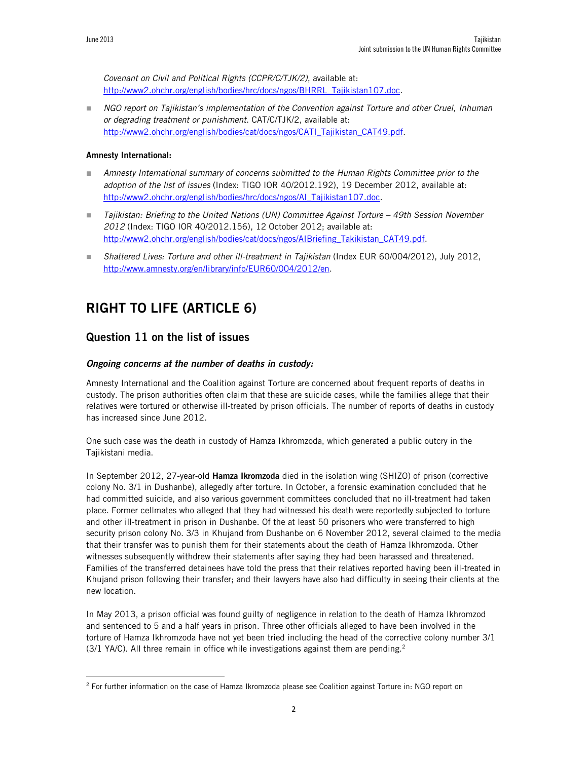*Covenant on Civil and Political Rights (CCPR/C/TJK/2)*, available at: http://www2.ohchr.org/english/bodies/hrc/docs/ngos/BHRRL\_Tajikistan107.doc.

 *NGO report on Tajikistan's implementation of the Convention against Torture and other Cruel, Inhuman or degrading treatment or punishment*. CAT/C/TJK/2, available at: http://www2.ohchr.org/english/bodies/cat/docs/ngos/CATI\_Tajikistan\_CAT49.pdf.

#### **Amnesty International:**

- **Amnesty International summary of concerns submitted to the Human Rights Committee prior to the** *adoption of the list of issues* (Index: TIGO IOR 40/2012.192), 19 December 2012, available at: http://www2.ohchr.org/english/bodies/hrc/docs/ngos/AI\_Tajikistan107.doc.
- *Tajikistan: Briefing to the United Nations (UN) Committee Against Torture 49th Session November 2012* (Index: TIGO IOR 40/2012.156), 12 October 2012; available at: http://www2.ohchr.org/english/bodies/cat/docs/ngos/AIBriefing\_Takikistan\_CAT49.pdf.
- *Shattered Lives: Torture and other ill-treatment in Tajikistan* (Index EUR 60/004/2012), July 2012, http://www.amnesty.org/en/library/info/EUR60/004/2012/en.

## **RIGHT TO LIFE (ARTICLE 6)**

## **Question 11 on the list of issues**

#### *Ongoing concerns at the number of deaths in custody:*

Amnesty International and the Coalition against Torture are concerned about frequent reports of deaths in custody. The prison authorities often claim that these are suicide cases, while the families allege that their relatives were tortured or otherwise ill-treated by prison officials. The number of reports of deaths in custody has increased since June 2012.

One such case was the death in custody of Hamza Ikhromzoda, which generated a public outcry in the Tajikistani media.

In September 2012, 27-year-old **Hamza Ikromzoda** died in the isolation wing (SHIZO) of prison (corrective colony No. 3/1 in Dushanbe), allegedly after torture. In October, a forensic examination concluded that he had committed suicide, and also various government committees concluded that no ill-treatment had taken place. Former cellmates who alleged that they had witnessed his death were reportedly subjected to torture and other ill-treatment in prison in Dushanbe. Of the at least 50 prisoners who were transferred to high security prison colony No. 3/3 in Khujand from Dushanbe on 6 November 2012, several claimed to the media that their transfer was to punish them for their statements about the death of Hamza Ikhromzoda. Other witnesses subsequently withdrew their statements after saying they had been harassed and threatened. Families of the transferred detainees have told the press that their relatives reported having been ill-treated in Khujand prison following their transfer; and their lawyers have also had difficulty in seeing their clients at the new location.

In May 2013, a prison official was found guilty of negligence in relation to the death of Hamza Ikhromzod and sentenced to 5 and a half years in prison. Three other officials alleged to have been involved in the torture of Hamza Ikhromzoda have not yet been tried including the head of the corrective colony number 3/1 (3/1 YA/C). All three remain in office while investigations against them are pending.<sup>2</sup>

<sup>&</sup>lt;sup>2</sup> For further information on the case of Hamza Ikromzoda please see Coalition against Torture in: NGO report on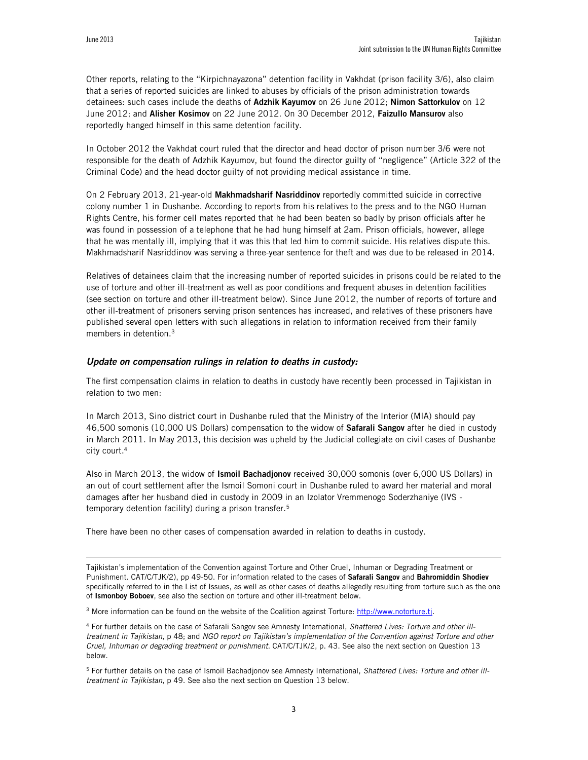Other reports, relating to the "Kirpichnayazona" detention facility in Vakhdat (prison facility 3/6), also claim that a series of reported suicides are linked to abuses by officials of the prison administration towards detainees: such cases include the deaths of **Adzhik Kayumov** on 26 June 2012; **Nimon Sattorkulov** on 12 June 2012; and **Alisher Kosimov** on 22 June 2012. On 30 December 2012, **Faizullo Mansurov** also reportedly hanged himself in this same detention facility.

In October 2012 the Vakhdat court ruled that the director and head doctor of prison number 3/6 were not responsible for the death of Adzhik Kayumov, but found the director guilty of "negligence" (Article 322 of the Criminal Code) and the head doctor guilty of not providing medical assistance in time.

On 2 February 2013, 21-year-old **Makhmadsharif Nasriddinov** reportedly committed suicide in corrective colony number 1 in Dushanbe. According to reports from his relatives to the press and to the NGO Human Rights Centre, his former cell mates reported that he had been beaten so badly by prison officials after he was found in possession of a telephone that he had hung himself at 2am. Prison officials, however, allege that he was mentally ill, implying that it was this that led him to commit suicide. His relatives dispute this. Makhmadsharif Nasriddinov was serving a three-year sentence for theft and was due to be released in 2014.

Relatives of detainees claim that the increasing number of reported suicides in prisons could be related to the use of torture and other ill-treatment as well as poor conditions and frequent abuses in detention facilities (see section on torture and other ill-treatment below). Since June 2012, the number of reports of torture and other ill-treatment of prisoners serving prison sentences has increased, and relatives of these prisoners have published several open letters with such allegations in relation to information received from their family members in detention.<sup>3</sup>

#### *Update on compensation rulings in relation to deaths in custody:*

The first compensation claims in relation to deaths in custody have recently been processed in Tajikistan in relation to two men:

In March 2013, Sino district court in Dushanbe ruled that the Ministry of the Interior (MIA) should pay 46,500 somonis (10,000 US Dollars) compensation to the widow of **Safarali Sangov** after he died in custody in March 2011. In May 2013, this decision was upheld by the Judicial collegiate on civil cases of Dushanbe city court.<sup>4</sup>

Also in March 2013, the widow of **Ismoil Bachadjonov** received 30,000 somonis (over 6,000 US Dollars) in an out of court settlement after the Ismoil Somoni court in Dushanbe ruled to award her material and moral damages after her husband died in custody in 2009 in an Izolator Vremmenogo Soderzhaniye (IVS temporary detention facility) during a prison transfer.<sup>5</sup>

There have been no other cases of compensation awarded in relation to deaths in custody.

Tajikistan's implementation of the Convention against Torture and Other Cruel, Inhuman or Degrading Treatment or Punishment. CAT/C/TJK/2), pp 49-50. For information related to the cases of **Safarali Sangov** and **Bahromiddin Shodiev** specifically referred to in the List of Issues, as well as other cases of deaths allegedly resulting from torture such as the one of **Ismonboy Boboev**, see also the section on torture and other ill-treatment below.

<sup>3</sup> More information can be found on the website of the Coalition against Torture: http://www.notorture.tj.

4 For further details on the case of Safarali Sangov see Amnesty International, *Shattered Lives: Torture and other illtreatment in Tajikistan*, p 48; and *NGO report on Tajikistan's implementation of the Convention against Torture and other Cruel, Inhuman or degrading treatment or punishment*. CAT/C/TJK/2, p. 43. See also the next section on Question 13 below.

5 For further details on the case of Ismoil Bachadjonov see Amnesty International, *Shattered Lives: Torture and other illtreatment in Tajikistan*, p 49. See also the next section on Question 13 below.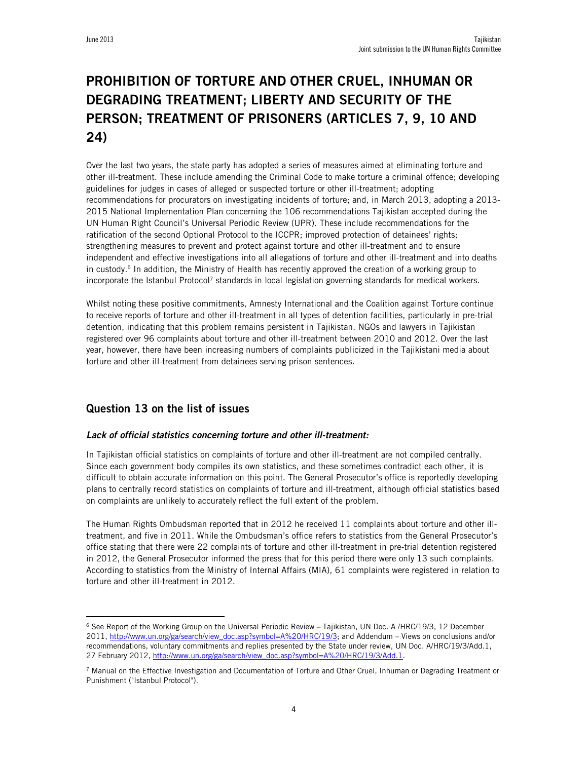# **PROHIBITION OF TORTURE AND OTHER CRUEL, INHUMAN OR DEGRADING TREATMENT; LIBERTY AND SECURITY OF THE PERSON; TREATMENT OF PRISONERS (ARTICLES 7, 9, 10 AND 24)**

Over the last two years, the state party has adopted a series of measures aimed at eliminating torture and other ill-treatment. These include amending the Criminal Code to make torture a criminal offence; developing guidelines for judges in cases of alleged or suspected torture or other ill-treatment; adopting recommendations for procurators on investigating incidents of torture; and, in March 2013, adopting a 2013- 2015 National Implementation Plan concerning the 106 recommendations Tajikistan accepted during the UN Human Right Council's Universal Periodic Review (UPR). These include recommendations for the ratification of the second Optional Protocol to the ICCPR; improved protection of detainees' rights; strengthening measures to prevent and protect against torture and other ill-treatment and to ensure independent and effective investigations into all allegations of torture and other ill-treatment and into deaths in custody.<sup>6</sup> In addition, the Ministry of Health has recently approved the creation of a working group to incorporate the Istanbul Protocol<sup>7</sup> standards in local legislation governing standards for medical workers.

Whilst noting these positive commitments, Amnesty International and the Coalition against Torture continue to receive reports of torture and other ill-treatment in all types of detention facilities, particularly in pre-trial detention, indicating that this problem remains persistent in Tajikistan. NGOs and lawyers in Tajikistan registered over 96 complaints about torture and other ill-treatment between 2010 and 2012. Over the last year, however, there have been increasing numbers of complaints publicized in the Tajikistani media about torture and other ill-treatment from detainees serving prison sentences.

## **Question 13 on the list of issues**

l

#### *Lack of official statistics concerning torture and other ill-treatment:*

In Tajikistan official statistics on complaints of torture and other ill-treatment are not compiled centrally. Since each government body compiles its own statistics, and these sometimes contradict each other, it is difficult to obtain accurate information on this point. The General Prosecutor's office is reportedly developing plans to centrally record statistics on complaints of torture and ill-treatment, although official statistics based on complaints are unlikely to accurately reflect the full extent of the problem.

The Human Rights Ombudsman reported that in 2012 he received 11 complaints about torture and other illtreatment, and five in 2011. While the Ombudsman's office refers to statistics from the General Prosecutor's office stating that there were 22 complaints of torture and other ill-treatment in pre-trial detention registered in 2012, the General Prosecutor informed the press that for this period there were only 13 such complaints. According to statistics from the Ministry of Internal Affairs (MIA), 61 complaints were registered in relation to torture and other ill-treatment in 2012.

<sup>&</sup>lt;sup>6</sup> See Report of the Working Group on the Universal Periodic Review – Tajikistan, UN Doc. A /HRC/19/3, 12 December 2011, http://www.un.org/ga/search/view\_doc.asp?symbol=A%20/HRC/19/3; and Addendum – Views on conclusions and/or recommendations, voluntary commitments and replies presented by the State under review, UN Doc. A/HRC/19/3/Add.1, 27 February 2012, http://www.un.org/ga/search/view\_doc.asp?symbol=A%20/HRC/19/3/Add.1.

<sup>7</sup> Manual on the Effective Investigation and Documentation of Torture and Other Cruel, Inhuman or Degrading Treatment or Punishment ("Istanbul Protocol").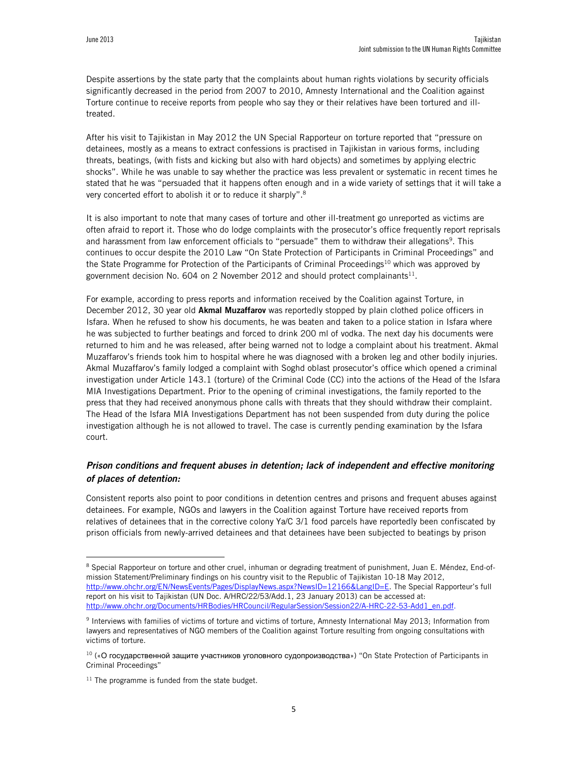Despite assertions by the state party that the complaints about human rights violations by security officials significantly decreased in the period from 2007 to 2010, Amnesty International and the Coalition against Torture continue to receive reports from people who say they or their relatives have been tortured and illtreated.

After his visit to Tajikistan in May 2012 the UN Special Rapporteur on torture reported that "pressure on detainees, mostly as a means to extract confessions is practised in Tajikistan in various forms, including threats, beatings, (with fists and kicking but also with hard objects) and sometimes by applying electric shocks". While he was unable to say whether the practice was less prevalent or systematic in recent times he stated that he was "persuaded that it happens often enough and in a wide variety of settings that it will take a very concerted effort to abolish it or to reduce it sharply".<sup>8</sup>

It is also important to note that many cases of torture and other ill-treatment go unreported as victims are often afraid to report it. Those who do lodge complaints with the prosecutor's office frequently report reprisals and harassment from law enforcement officials to "persuade" them to withdraw their allegations<sup>9</sup>. This continues to occur despite the 2010 Law "On State Protection of Participants in Criminal Proceedings" and the State Programme for Protection of the Participants of Criminal Proceedings<sup>10</sup> which was approved by government decision No. 604 on 2 November 2012 and should protect complainants $^{11}$ .

For example, according to press reports and information received by the Coalition against Torture, in December 2012, 30 year old **Akmal Muzaffarov** was reportedly stopped by plain clothed police officers in Isfara. When he refused to show his documents, he was beaten and taken to a police station in Isfara where he was subjected to further beatings and forced to drink 200 ml of vodka. The next day his documents were returned to him and he was released, after being warned not to lodge a complaint about his treatment. Akmal Muzaffarov's friends took him to hospital where he was diagnosed with a broken leg and other bodily injuries. Akmal Muzaffarov's family lodged a complaint with Soghd oblast prosecutor's office which opened a criminal investigation under Article 143.1 (torture) of the Criminal Code (CC) into the actions of the Head of the Isfara MIA Investigations Department. Prior to the opening of criminal investigations, the family reported to the press that they had received anonymous phone calls with threats that they should withdraw their complaint. The Head of the Isfara MIA Investigations Department has not been suspended from duty during the police investigation although he is not allowed to travel. The case is currently pending examination by the Isfara court.

## *Prison conditions and frequent abuses in detention; lack of independent and effective monitoring of places of detention:*

Consistent reports also point to poor conditions in detention centres and prisons and frequent abuses against detainees. For example, NGOs and lawyers in the Coalition against Torture have received reports from relatives of detainees that in the corrective colony Ya/C 3/1 food parcels have reportedly been confiscated by prison officials from newly-arrived detainees and that detainees have been subjected to beatings by prison

 $\overline{a}$ 

<sup>&</sup>lt;sup>8</sup> Special Rapporteur on torture and other cruel, inhuman or degrading treatment of punishment, Juan E. Méndez, End-ofmission Statement/Preliminary findings on his country visit to the Republic of Tajikistan 10-18 May 2012, http://www.ohchr.org/EN/NewsEvents/Pages/DisplayNews.aspx?NewsID=12166&LangID=E. The Special Rapporteur's full report on his visit to Tajikistan (UN Doc. A/HRC/22/53/Add.1, 23 January 2013) can be accessed at: http://www.ohchr.org/Documents/HRBodies/HRCouncil/RegularSession/Session22/A-HRC-22-53-Add1\_en.pdf.

<sup>9</sup> Interviews with families of victims of torture and victims of torture, Amnesty International May 2013; Information from lawyers and representatives of NGO members of the Coalition against Torture resulting from ongoing consultations with victims of torture.

<sup>10</sup> («О государственной защите участников уголовного судопроизводства») "On State Protection of Participants in Criminal Proceedings"

 $11$  The programme is funded from the state budget.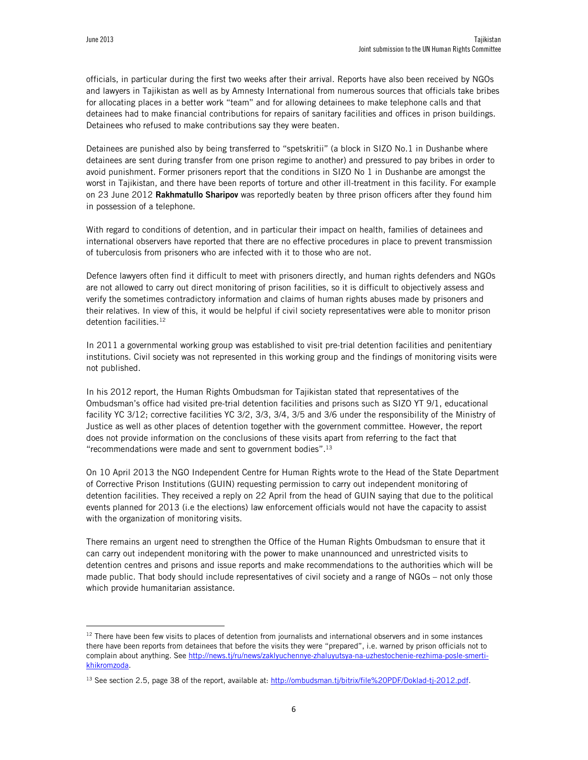officials, in particular during the first two weeks after their arrival. Reports have also been received by NGOs and lawyers in Tajikistan as well as by Amnesty International from numerous sources that officials take bribes for allocating places in a better work "team" and for allowing detainees to make telephone calls and that detainees had to make financial contributions for repairs of sanitary facilities and offices in prison buildings. Detainees who refused to make contributions say they were beaten.

Detainees are punished also by being transferred to "spetskritii" (a block in SIZO No.1 in Dushanbe where detainees are sent during transfer from one prison regime to another) and pressured to pay bribes in order to avoid punishment. Former prisoners report that the conditions in SIZO No 1 in Dushanbe are amongst the worst in Tajikistan, and there have been reports of torture and other ill-treatment in this facility. For example on 23 June 2012 **Rakhmatullo Sharipov** was reportedly beaten by three prison officers after they found him in possession of a telephone.

With regard to conditions of detention, and in particular their impact on health, families of detainees and international observers have reported that there are no effective procedures in place to prevent transmission of tuberculosis from prisoners who are infected with it to those who are not.

Defence lawyers often find it difficult to meet with prisoners directly, and human rights defenders and NGOs are not allowed to carry out direct monitoring of prison facilities, so it is difficult to objectively assess and verify the sometimes contradictory information and claims of human rights abuses made by prisoners and their relatives. In view of this, it would be helpful if civil society representatives were able to monitor prison detention facilities.<sup>12</sup>

In 2011 a governmental working group was established to visit pre-trial detention facilities and penitentiary institutions. Civil society was not represented in this working group and the findings of monitoring visits were not published.

In his 2012 report, the Human Rights Ombudsman for Tajikistan stated that representatives of the Ombudsman's office had visited pre-trial detention facilities and prisons such as SIZO YT 9/1, educational facility YC 3/12; corrective facilities YC 3/2, 3/3, 3/4, 3/5 and 3/6 under the responsibility of the Ministry of Justice as well as other places of detention together with the government committee. However, the report does not provide information on the conclusions of these visits apart from referring to the fact that "recommendations were made and sent to government bodies".<sup>13</sup>

On 10 April 2013 the NGO Independent Centre for Human Rights wrote to the Head of the State Department of Corrective Prison Institutions (GUIN) requesting permission to carry out independent monitoring of detention facilities. They received a reply on 22 April from the head of GUIN saying that due to the political events planned for 2013 (i.e the elections) law enforcement officials would not have the capacity to assist with the organization of monitoring visits.

There remains an urgent need to strengthen the Office of the Human Rights Ombudsman to ensure that it can carry out independent monitoring with the power to make unannounced and unrestricted visits to detention centres and prisons and issue reports and make recommendations to the authorities which will be made public. That body should include representatives of civil society and a range of NGOs – not only those which provide humanitarian assistance.

 $12$  There have been few visits to places of detention from journalists and international observers and in some instances there have been reports from detainees that before the visits they were "prepared", i.e. warned by prison officials not to complain about anything. See http://news.tj/ru/news/zaklyuchennye-zhaluyutsya-na-uzhestochenie-rezhima-posle-smertikhikromzoda.

<sup>&</sup>lt;sup>13</sup> See section 2.5, page 38 of the report, available at: http://ombudsman.tj/bitrix/file%20PDF/Doklad-tj-2012.pdf.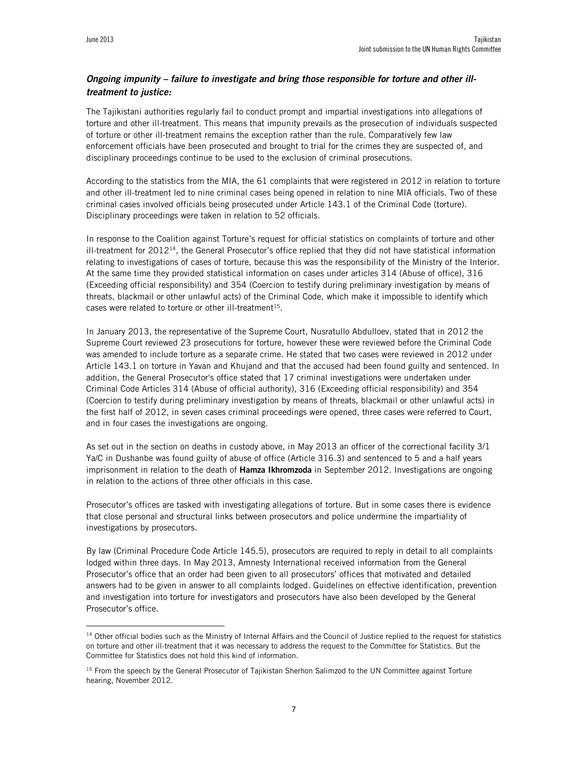## *Ongoing impunity – failure to investigate and bring those responsible for torture and other illtreatment to justice:*

The Tajikistani authorities regularly fail to conduct prompt and impartial investigations into allegations of torture and other ill-treatment. This means that impunity prevails as the prosecution of individuals suspected of torture or other ill-treatment remains the exception rather than the rule. Comparatively few law enforcement officials have been prosecuted and brought to trial for the crimes they are suspected of, and disciplinary proceedings continue to be used to the exclusion of criminal prosecutions.

According to the statistics from the MIA, the 61 complaints that were registered in 2012 in relation to torture and other ill-treatment led to nine criminal cases being opened in relation to nine MIA officials. Two of these criminal cases involved officials being prosecuted under Article 143.1 of the Criminal Code (torture). Disciplinary proceedings were taken in relation to 52 officials.

In response to the Coalition against Torture's request for official statistics on complaints of torture and other  $i$ II-treatment for 2012<sup>14</sup>, the General Prosecutor's office replied that they did not have statistical information relating to investigations of cases of torture, because this was the responsibility of the Ministry of the Interior. At the same time they provided statistical information on cases under articles 314 (Abuse of office), 316 (Exceeding official responsibility) and 354 (Coercion to testify during preliminary investigation by means of threats, blackmail or other unlawful acts) of the Criminal Code, which make it impossible to identify which cases were related to torture or other ill-treatment<sup>15</sup>.

In January 2013, the representative of the Supreme Court, Nusratullo Abdulloev, stated that in 2012 the Supreme Court reviewed 23 prosecutions for torture, however these were reviewed before the Criminal Code was amended to include torture as a separate crime. He stated that two cases were reviewed in 2012 under Article 143.1 on torture in Yavan and Khujand and that the accused had been found guilty and sentenced. In addition, the General Prosecutor's office stated that 17 criminal investigations were undertaken under Criminal Code Articles 314 (Abuse of official authority), 316 (Exceeding official responsibility) and 354 (Coercion to testify during preliminary investigation by means of threats, blackmail or other unlawful acts) in the first half of 2012, in seven cases criminal proceedings were opened, three cases were referred to Court, and in four cases the investigations are ongoing.

As set out in the section on deaths in custody above, in May 2013 an officer of the correctional facility 3/1 Ya/C in Dushanbe was found guilty of abuse of office (Article 316.3) and sentenced to 5 and a half years imprisonment in relation to the death of **Hamza Ikhromzoda** in September 2012. Investigations are ongoing in relation to the actions of three other officials in this case.

Prosecutor's offices are tasked with investigating allegations of torture. But in some cases there is evidence that close personal and structural links between prosecutors and police undermine the impartiality of investigations by prosecutors.

By law (Criminal Procedure Code Article 145.5), prosecutors are required to reply in detail to all complaints lodged within three days. In May 2013, Amnesty International received information from the General Prosecutor's office that an order had been given to all prosecutors' offices that motivated and detailed answers had to be given in answer to all complaints lodged. Guidelines on effective identification, prevention and investigation into torture for investigators and prosecutors have also been developed by the General Prosecutor's office.

<sup>&</sup>lt;sup>14</sup> Other official bodies such as the Ministry of Internal Affairs and the Council of Justice replied to the request for statistics on torture and other ill-treatment that it was necessary to address the request to the Committee for Statistics. But the Committee for Statistics does not hold this kind of information.

<sup>&</sup>lt;sup>15</sup> From the speech by the General Prosecutor of Tajikistan Sherhon Salimzod to the UN Committee against Torture hearing, November 2012.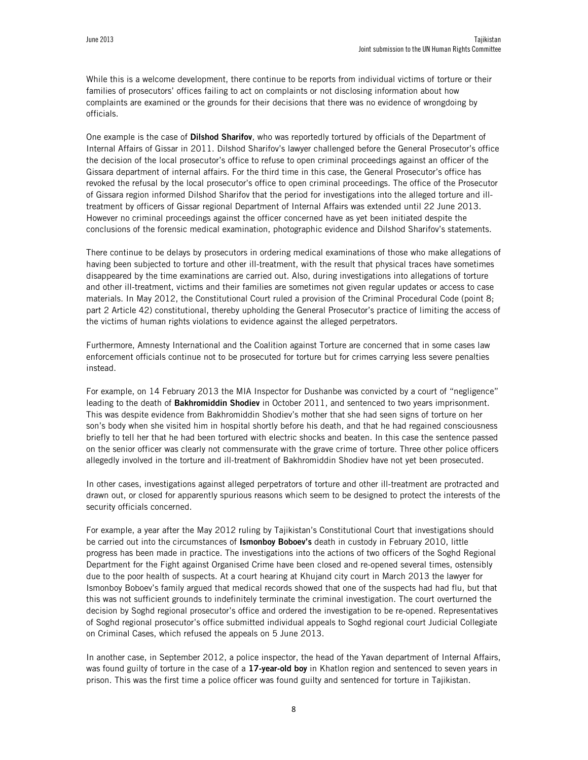While this is a welcome development, there continue to be reports from individual victims of torture or their families of prosecutors' offices failing to act on complaints or not disclosing information about how complaints are examined or the grounds for their decisions that there was no evidence of wrongdoing by officials.

One example is the case of **Dilshod Sharifov**, who was reportedly tortured by officials of the Department of Internal Affairs of Gissar in 2011. Dilshod Sharifov's lawyer challenged before the General Prosecutor's office the decision of the local prosecutor's office to refuse to open criminal proceedings against an officer of the Gissara department of internal affairs. For the third time in this case, the General Prosecutor's office has revoked the refusal by the local prosecutor's office to open criminal proceedings. The office of the Prosecutor of Gissara region informed Dilshod Sharifov that the period for investigations into the alleged torture and illtreatment by officers of Gissar regional Department of Internal Affairs was extended until 22 June 2013. However no criminal proceedings against the officer concerned have as yet been initiated despite the conclusions of the forensic medical examination, photographic evidence and Dilshod Sharifov's statements.

There continue to be delays by prosecutors in ordering medical examinations of those who make allegations of having been subjected to torture and other ill-treatment, with the result that physical traces have sometimes disappeared by the time examinations are carried out. Also, during investigations into allegations of torture and other ill-treatment, victims and their families are sometimes not given regular updates or access to case materials. In May 2012, the Constitutional Court ruled a provision of the Criminal Procedural Code (point 8; part 2 Article 42) constitutional, thereby upholding the General Prosecutor's practice of limiting the access of the victims of human rights violations to evidence against the alleged perpetrators.

Furthermore, Amnesty International and the Coalition against Torture are concerned that in some cases law enforcement officials continue not to be prosecuted for torture but for crimes carrying less severe penalties instead.

For example, on 14 February 2013 the MIA Inspector for Dushanbe was convicted by a court of "negligence" leading to the death of **Bakhromiddin Shodiev** in October 2011, and sentenced to two years imprisonment. This was despite evidence from Bakhromiddin Shodiev's mother that she had seen signs of torture on her son's body when she visited him in hospital shortly before his death, and that he had regained consciousness briefly to tell her that he had been tortured with electric shocks and beaten. In this case the sentence passed on the senior officer was clearly not commensurate with the grave crime of torture. Three other police officers allegedly involved in the torture and ill-treatment of Bakhromiddin Shodiev have not yet been prosecuted.

In other cases, investigations against alleged perpetrators of torture and other ill-treatment are protracted and drawn out, or closed for apparently spurious reasons which seem to be designed to protect the interests of the security officials concerned.

For example, a year after the May 2012 ruling by Tajikistan's Constitutional Court that investigations should be carried out into the circumstances of **Ismonboy Boboev's** death in custody in February 2010, little progress has been made in practice. The investigations into the actions of two officers of the Soghd Regional Department for the Fight against Organised Crime have been closed and re-opened several times, ostensibly due to the poor health of suspects. At a court hearing at Khujand city court in March 2013 the lawyer for Ismonboy Boboev's family argued that medical records showed that one of the suspects had had flu, but that this was not sufficient grounds to indefinitely terminate the criminal investigation. The court overturned the decision by Soghd regional prosecutor's office and ordered the investigation to be re-opened. Representatives of Soghd regional prosecutor's office submitted individual appeals to Soghd regional court Judicial Collegiate on Criminal Cases, which refused the appeals on 5 June 2013.

In another case, in September 2012, a police inspector, the head of the Yavan department of Internal Affairs, was found guilty of torture in the case of a **17-year-old boy** in Khatlon region and sentenced to seven years in prison. This was the first time a police officer was found guilty and sentenced for torture in Tajikistan.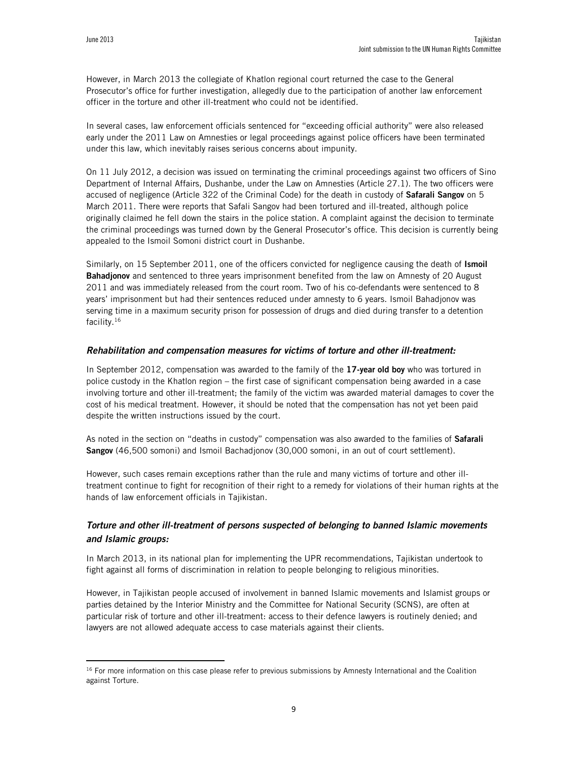However, in March 2013 the collegiate of Khatlon regional court returned the case to the General Prosecutor's office for further investigation, allegedly due to the participation of another law enforcement officer in the torture and other ill-treatment who could not be identified.

In several cases, law enforcement officials sentenced for "exceeding official authority" were also released early under the 2011 Law on Amnesties or legal proceedings against police officers have been terminated under this law, which inevitably raises serious concerns about impunity.

On 11 July 2012, a decision was issued on terminating the criminal proceedings against two officers of Sino Department of Internal Affairs, Dushanbe, under the Law on Amnesties (Article 27.1). The two officers were accused of negligence (Article 322 of the Criminal Code) for the death in custody of **Safarali Sangov** on 5 March 2011. There were reports that Safali Sangov had been tortured and ill-treated, although police originally claimed he fell down the stairs in the police station. A complaint against the decision to terminate the criminal proceedings was turned down by the General Prosecutor's office. This decision is currently being appealed to the Ismoil Somoni district court in Dushanbe.

Similarly, on 15 September 2011, one of the officers convicted for negligence causing the death of **Ismoil Bahadjonov** and sentenced to three years imprisonment benefited from the law on Amnesty of 20 August 2011 and was immediately released from the court room. Two of his co-defendants were sentenced to 8 years' imprisonment but had their sentences reduced under amnesty to 6 years. Ismoil Bahadjonov was serving time in a maximum security prison for possession of drugs and died during transfer to a detention facility.<sup>16</sup>

#### *Rehabilitation and compensation measures for victims of torture and other ill-treatment:*

In September 2012, compensation was awarded to the family of the **17-year old boy** who was tortured in police custody in the Khatlon region – the first case of significant compensation being awarded in a case involving torture and other ill-treatment; the family of the victim was awarded material damages to cover the cost of his medical treatment. However, it should be noted that the compensation has not yet been paid despite the written instructions issued by the court.

As noted in the section on "deaths in custody" compensation was also awarded to the families of **Safarali Sangov** (46,500 somoni) and Ismoil Bachadjonov (30,000 somoni, in an out of court settlement).

However, such cases remain exceptions rather than the rule and many victims of torture and other illtreatment continue to fight for recognition of their right to a remedy for violations of their human rights at the hands of law enforcement officials in Tajikistan.

## *Torture and other ill-treatment of persons suspected of belonging to banned Islamic movements and Islamic groups:*

In March 2013, in its national plan for implementing the UPR recommendations, Tajikistan undertook to fight against all forms of discrimination in relation to people belonging to religious minorities.

However, in Tajikistan people accused of involvement in banned Islamic movements and Islamist groups or parties detained by the Interior Ministry and the Committee for National Security (SCNS), are often at particular risk of torture and other ill-treatment: access to their defence lawyers is routinely denied; and lawyers are not allowed adequate access to case materials against their clients.

<sup>&</sup>lt;sup>16</sup> For more information on this case please refer to previous submissions by Amnesty International and the Coalition against Torture.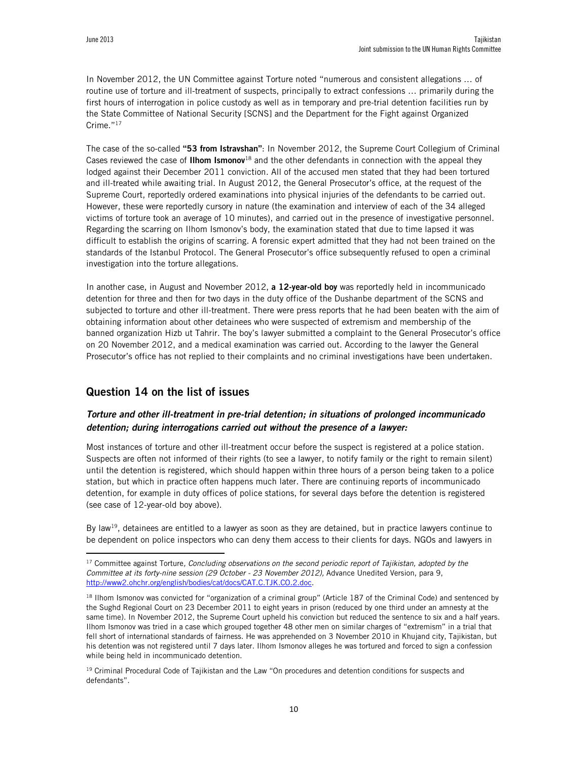In November 2012, the UN Committee against Torture noted "numerous and consistent allegations … of routine use of torture and ill-treatment of suspects, principally to extract confessions … primarily during the first hours of interrogation in police custody as well as in temporary and pre-trial detention facilities run by the State Committee of National Security [SCNS] and the Department for the Fight against Organized Crime."<sup>17</sup>

The case of the so-called **"53 from Istravshan"**: In November 2012, the Supreme Court Collegium of Criminal Cases reviewed the case of **Ilhom Ismonov**<sup>18</sup> and the other defendants in connection with the appeal they lodged against their December 2011 conviction. All of the accused men stated that they had been tortured and ill-treated while awaiting trial. In August 2012, the General Prosecutor's office, at the request of the Supreme Court, reportedly ordered examinations into physical injuries of the defendants to be carried out. However, these were reportedly cursory in nature (the examination and interview of each of the 34 alleged victims of torture took an average of 10 minutes), and carried out in the presence of investigative personnel. Regarding the scarring on Ilhom Ismonov's body, the examination stated that due to time lapsed it was difficult to establish the origins of scarring. A forensic expert admitted that they had not been trained on the standards of the Istanbul Protocol. The General Prosecutor's office subsequently refused to open a criminal investigation into the torture allegations.

In another case, in August and November 2012, **a 12-year-old boy** was reportedly held in incommunicado detention for three and then for two days in the duty office of the Dushanbe department of the SCNS and subjected to torture and other ill-treatment. There were press reports that he had been beaten with the aim of obtaining information about other detainees who were suspected of extremism and membership of the banned organization Hizb ut Tahrir. The boy's lawyer submitted a complaint to the General Prosecutor's office on 20 November 2012, and a medical examination was carried out. According to the lawyer the General Prosecutor's office has not replied to their complaints and no criminal investigations have been undertaken.

## **Question 14 on the list of issues**

l

## *Torture and other ill-treatment in pre-trial detention; in situations of prolonged incommunicado detention; during interrogations carried out without the presence of a lawyer:*

Most instances of torture and other ill-treatment occur before the suspect is registered at a police station. Suspects are often not informed of their rights (to see a lawyer, to notify family or the right to remain silent) until the detention is registered, which should happen within three hours of a person being taken to a police station, but which in practice often happens much later. There are continuing reports of incommunicado detention, for example in duty offices of police stations, for several days before the detention is registered (see case of 12-year-old boy above).

By law<sup>19</sup>, detainees are entitled to a lawyer as soon as they are detained, but in practice lawyers continue to be dependent on police inspectors who can deny them access to their clients for days. NGOs and lawyers in

<sup>19</sup> Criminal Procedural Code of Tajikistan and the Law "On procedures and detention conditions for suspects and defendants".

<sup>17</sup> Committee against Torture*, Concluding observations on the second periodic report of Tajikistan, adopted by the Committee at its forty-nine session (29 October - 23 November 2012),* Advance Unedited Version, para 9, http://www2.ohchr.org/english/bodies/cat/docs/CAT.C.TJK.CO.2.doc.

<sup>&</sup>lt;sup>18</sup> Ilhom Ismonov was convicted for "organization of a criminal group" (Article 187 of the Criminal Code) and sentenced by the Sughd Regional Court on 23 December 2011 to eight years in prison (reduced by one third under an amnesty at the same time). In November 2012, the Supreme Court upheld his conviction but reduced the sentence to six and a half years. Ilhom Ismonov was tried in a case which grouped together 48 other men on similar charges of "extremism" in a trial that fell short of international standards of fairness. He was apprehended on 3 November 2010 in Khujand city, Tajikistan, but his detention was not registered until 7 days later. Ilhom Ismonov alleges he was tortured and forced to sign a confession while being held in incommunicado detention.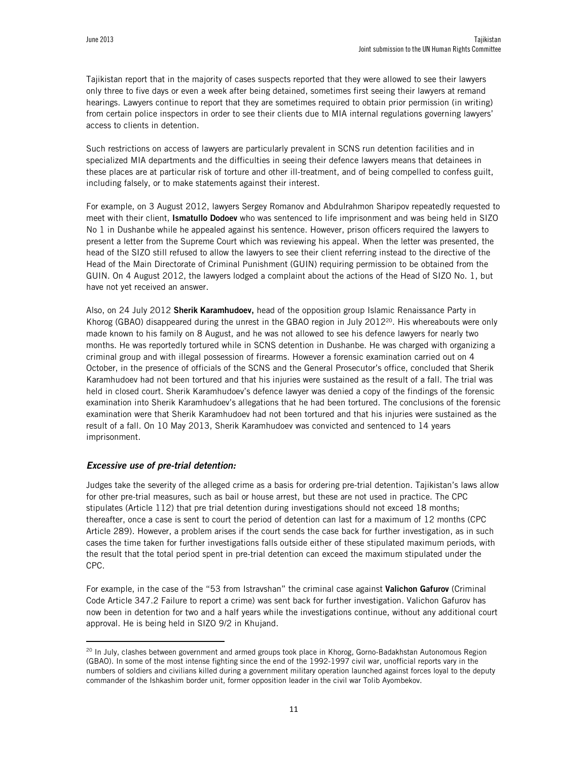Tajikistan report that in the majority of cases suspects reported that they were allowed to see their lawyers only three to five days or even a week after being detained, sometimes first seeing their lawyers at remand hearings. Lawyers continue to report that they are sometimes required to obtain prior permission (in writing) from certain police inspectors in order to see their clients due to MIA internal regulations governing lawyers' access to clients in detention.

Such restrictions on access of lawyers are particularly prevalent in SCNS run detention facilities and in specialized MIA departments and the difficulties in seeing their defence lawyers means that detainees in these places are at particular risk of torture and other ill-treatment, and of being compelled to confess guilt, including falsely, or to make statements against their interest.

For example, on 3 August 2012, lawyers Sergey Romanov and Abdulrahmon Sharipov repeatedly requested to meet with their client, **Ismatullo Dodoev** who was sentenced to life imprisonment and was being held in SIZO No 1 in Dushanbe while he appealed against his sentence. However, prison officers required the lawyers to present a letter from the Supreme Court which was reviewing his appeal. When the letter was presented, the head of the SIZO still refused to allow the lawyers to see their client referring instead to the directive of the Head of the Main Directorate of Criminal Punishment (GUIN) requiring permission to be obtained from the GUIN. On 4 August 2012, the lawyers lodged a complaint about the actions of the Head of SIZO No. 1, but have not yet received an answer.

Also, on 24 July 2012 **Sherik Karamhudoev,** head of the opposition group Islamic Renaissance Party in Khorog (GBAO) disappeared during the unrest in the GBAO region in July 2012<sup>20</sup>. His whereabouts were only made known to his family on 8 August, and he was not allowed to see his defence lawyers for nearly two months. He was reportedly tortured while in SCNS detention in Dushanbe. He was charged with organizing a criminal group and with illegal possession of firearms. However a forensic examination carried out on 4 October, in the presence of officials of the SCNS and the General Prosecutor's office, concluded that Sherik Karamhudoev had not been tortured and that his injuries were sustained as the result of a fall. The trial was held in closed court. Sherik Karamhudoev's defence lawyer was denied a copy of the findings of the forensic examination into Sherik Karamhudoev's allegations that he had been tortured. The conclusions of the forensic examination were that Sherik Karamhudoev had not been tortured and that his injuries were sustained as the result of a fall. On 10 May 2013, Sherik Karamhudoev was convicted and sentenced to 14 years imprisonment.

#### *Excessive use of pre-trial detention:*

 $\overline{a}$ 

Judges take the severity of the alleged crime as a basis for ordering pre-trial detention. Tajikistan's laws allow for other pre-trial measures, such as bail or house arrest, but these are not used in practice. The CPC stipulates (Article 112) that pre trial detention during investigations should not exceed 18 months; thereafter, once a case is sent to court the period of detention can last for a maximum of 12 months (CPC Article 289). However, a problem arises if the court sends the case back for further investigation, as in such cases the time taken for further investigations falls outside either of these stipulated maximum periods, with the result that the total period spent in pre-trial detention can exceed the maximum stipulated under the CPC.

For example, in the case of the "53 from Istravshan" the criminal case against **Valichon Gafurov** (Criminal Code Article 347.2 Failure to report a crime) was sent back for further investigation. Valichon Gafurov has now been in detention for two and a half years while the investigations continue, without any additional court approval. He is being held in SIZO 9/2 in Khujand.

<sup>&</sup>lt;sup>20</sup> In July, clashes between government and armed groups took place in Khorog, Gorno-Badakhstan Autonomous Region (GBAO). In some of the most intense fighting since the end of the 1992-1997 civil war, unofficial reports vary in the numbers of soldiers and civilians killed during a government military operation launched against forces loyal to the deputy commander of the Ishkashim border unit, former opposition leader in the civil war Tolib Ayombekov.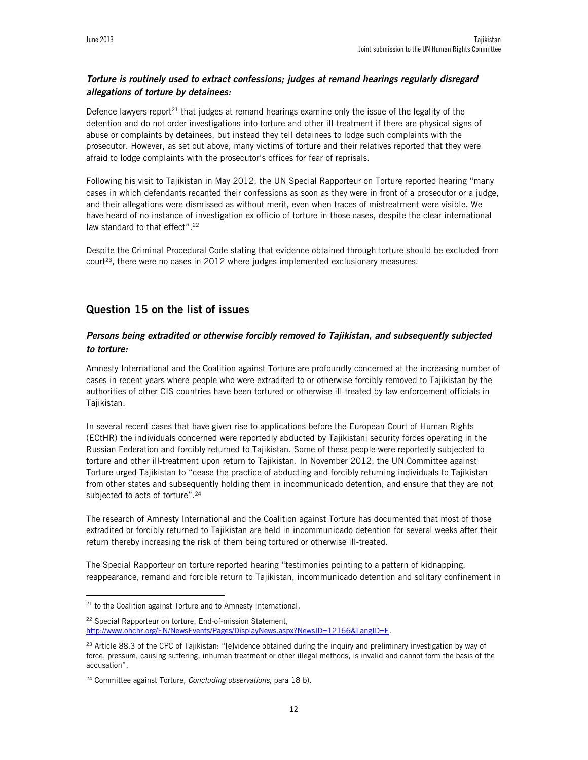## *Torture is routinely used to extract confessions; judges at remand hearings regularly disregard allegations of torture by detainees:*

Defence lawyers report<sup>21</sup> that judges at remand hearings examine only the issue of the legality of the detention and do not order investigations into torture and other ill-treatment if there are physical signs of abuse or complaints by detainees, but instead they tell detainees to lodge such complaints with the prosecutor. However, as set out above, many victims of torture and their relatives reported that they were afraid to lodge complaints with the prosecutor's offices for fear of reprisals.

Following his visit to Tajikistan in May 2012, the UN Special Rapporteur on Torture reported hearing "many cases in which defendants recanted their confessions as soon as they were in front of a prosecutor or a judge, and their allegations were dismissed as without merit, even when traces of mistreatment were visible. We have heard of no instance of investigation ex officio of torture in those cases, despite the clear international law standard to that effect".<sup>22</sup>

Despite the Criminal Procedural Code stating that evidence obtained through torture should be excluded from court<sup>23</sup>, there were no cases in 2012 where judges implemented exclusionary measures.

## **Question 15 on the list of issues**

## *Persons being extradited or otherwise forcibly removed to Tajikistan, and subsequently subjected to torture:*

Amnesty International and the Coalition against Torture are profoundly concerned at the increasing number of cases in recent years where people who were extradited to or otherwise forcibly removed to Tajikistan by the authorities of other CIS countries have been tortured or otherwise ill-treated by law enforcement officials in Tajikistan.

In several recent cases that have given rise to applications before the European Court of Human Rights (ECtHR) the individuals concerned were reportedly abducted by Tajikistani security forces operating in the Russian Federation and forcibly returned to Tajikistan. Some of these people were reportedly subjected to torture and other ill-treatment upon return to Tajikistan. In November 2012, the UN Committee against Torture urged Tajikistan to "cease the practice of abducting and forcibly returning individuals to Tajikistan from other states and subsequently holding them in incommunicado detention, and ensure that they are not subjected to acts of torture".<sup>24</sup>

The research of Amnesty International and the Coalition against Torture has documented that most of those extradited or forcibly returned to Tajikistan are held in incommunicado detention for several weeks after their return thereby increasing the risk of them being tortured or otherwise ill-treated.

The Special Rapporteur on torture reported hearing "testimonies pointing to a pattern of kidnapping, reappearance, remand and forcible return to Tajikistan, incommunicado detention and solitary confinement in

 $\overline{a}$ 

<sup>22</sup> Special Rapporteur on torture, End-of-mission Statement, http://www.ohchr.org/EN/NewsEvents/Pages/DisplayNews.aspx?NewsID=12166&LangID=E.

 $21$  to the Coalition against Torture and to Amnesty International.

 $23$  Article 88.3 of the CPC of Tajikistan: "[e]vidence obtained during the inquiry and preliminary investigation by way of force, pressure, causing suffering, inhuman treatment or other illegal methods, is invalid and cannot form the basis of the accusation".

<sup>24</sup> Committee against Torture*, Concluding observations,* para 18 b).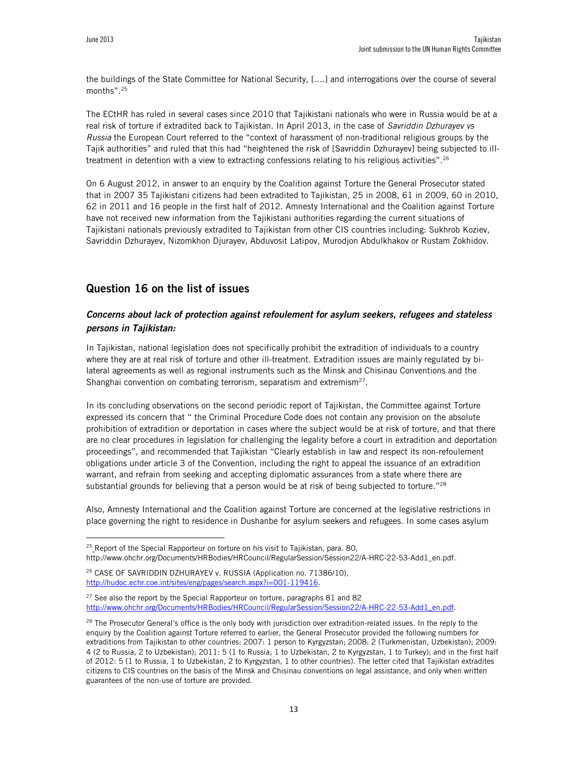the buildings of the State Committee for National Security, [....] and interrogations over the course of several months".<sup>25</sup>

The ECtHR has ruled in several cases since 2010 that Tajikistani nationals who were in Russia would be at a real risk of torture if extradited back to Tajikistan. In April 2013, in the case of *Savriddin Dzhurayev vs Russia* the European Court referred to the "context of harassment of non-traditional religious groups by the Tajik authorities" and ruled that this had "heightened the risk of [Savriddin Dzhurayev] being subjected to illtreatment in detention with a view to extracting confessions relating to his religious activities".<sup>26</sup>

On 6 August 2012, in answer to an enquiry by the Coalition against Torture the General Prosecutor stated that in 2007 35 Tajikistani citizens had been extradited to Tajikistan, 25 in 2008, 61 in 2009, 60 in 2010, 62 in 2011 and 16 people in the first half of 2012. Amnesty International and the Coalition against Torture have not received new information from the Tajikistani authorities regarding the current situations of Tajikistani nationals previously extradited to Tajikistan from other CIS countries including: Sukhrob Koziev, Savriddin Dzhurayev, Nizomkhon Djurayev, Abduvosit Latipov, Murodjon Abdulkhakov or Rustam Zokhidov.

## **Question 16 on the list of issues**

#### *Concerns about lack of protection against refoulement for asylum seekers, refugees and stateless persons in Tajikistan:*

In Tajikistan, national legislation does not specifically prohibit the extradition of individuals to a country where they are at real risk of torture and other ill-treatment. Extradition issues are mainly regulated by bilateral agreements as well as regional instruments such as the Minsk and Chisinau Conventions and the Shanghai convention on combating terrorism, separatism and extremism<sup>27</sup>.

In its concluding observations on the second periodic report of Tajikistan, the Committee against Torture expressed its concern that " the Criminal Procedure Code does not contain any provision on the absolute prohibition of extradition or deportation in cases where the subject would be at risk of torture, and that there are no clear procedures in legislation for challenging the legality before a court in extradition and deportation proceedings", and recommended that Tajikistan "Clearly establish in law and respect its non-refoulement obligations under article 3 of the Convention, including the right to appeal the issuance of an extradition warrant, and refrain from seeking and accepting diplomatic assurances from a state where there are substantial grounds for believing that a person would be at risk of being subjected to torture."<sup>28</sup>

Also, Amnesty International and the Coalition against Torture are concerned at the legislative restrictions in place governing the right to residence in Dushanbe for asylum seekers and refugees. In some cases asylum

http://www.ohchr.org/Documents/HRBodies/HRCouncil/RegularSession/Session22/A-HRC-22-53-Add1\_en.pdf.

 $27$  See also the report by the Special Rapporteur on torture, paragraphs 81 and 82 http://www.ohchr.org/Documents/HRBodies/HRCouncil/RegularSession/Session22/A-HRC-22-53-Add1\_en.pdf.

<sup>&</sup>lt;sup>25</sup>\_Report of the Special Rapporteur on torture on his visit to Tajikistan, para. 80,

<sup>&</sup>lt;sup>26</sup> CASE OF SAVRIDDIN DZHURAYEV v. RUSSIA (Application no. 71386/10), http://hudoc.echr.coe.int/sites/eng/pages/search.aspx?i=001-119416.

 $28$  The Prosecutor General's office is the only body with jurisdiction over extradition-related issues. In the reply to the enquiry by the Coalition against Torture referred to earlier, the General Prosecutor provided the following numbers for extraditions from Tajikistan to other countries: 2007: 1 person to Kyrgyzstan; 2008: 2 (Turkmenistan, Uzbekistan); 2009: 4 (2 to Russia, 2 to Uzbekistan); 2011: 5 (1 to Russia, 1 to Uzbekistan, 2 to Kyrgyzstan, 1 to Turkey); and in the first half of 2012: 5 (1 to Russia, 1 to Uzbekistan, 2 to Kyrgyzstan, 1 to other countries). The letter cited that Tajikistan extradites citizens to CIS countries on the basis of the Minsk and Chisinau conventions on legal assistance, and only when written guarantees of the non-use of torture are provided.